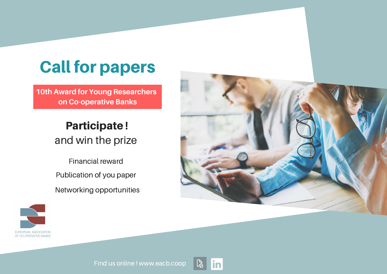# Call for papers

**10th Award for Young Researchers on Co-operative Banks**

# Participate ! and win the prize

Financial reward Publication of you paper Networking opportunities